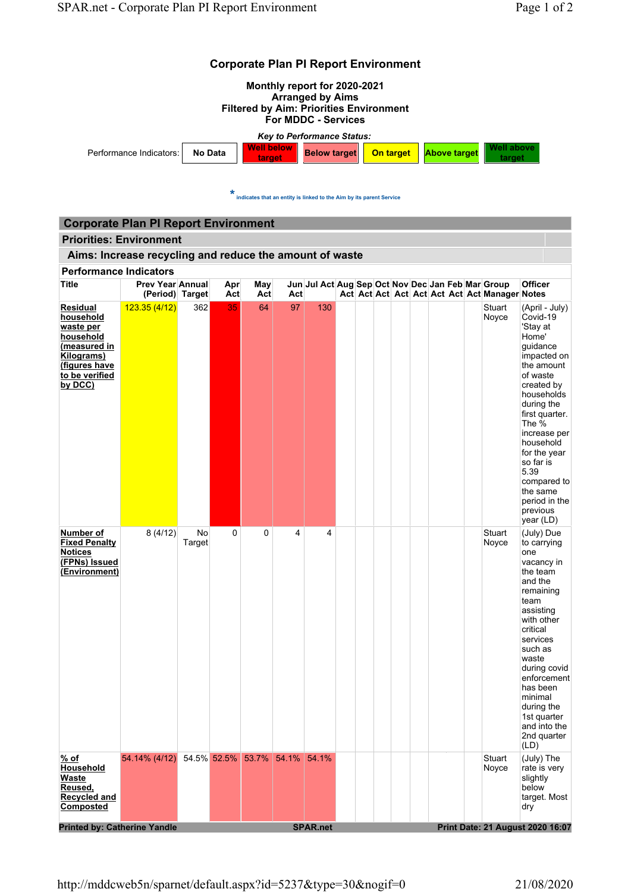